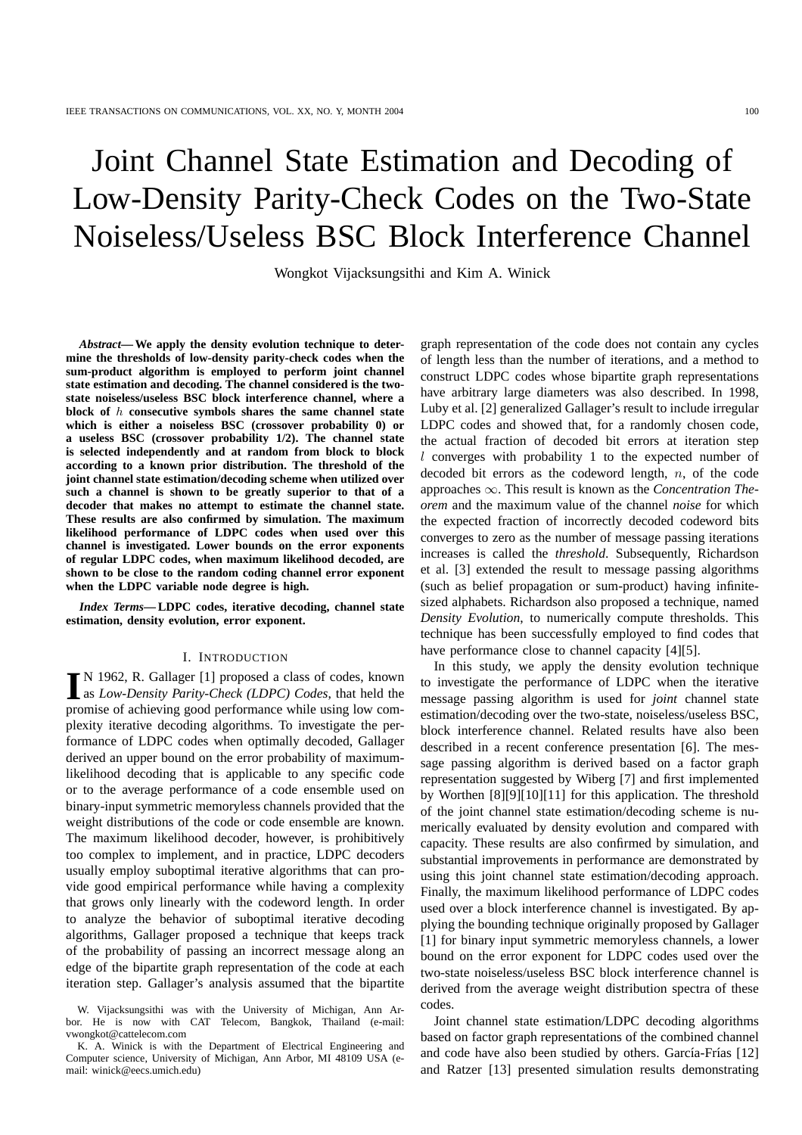# Joint Channel State Estimation and Decoding of Low-Density Parity-Check Codes on the Two-State Noiseless/Useless BSC Block Interference Channel

Wongkot Vijacksungsithi and Kim A. Winick

*Abstract***— We apply the density evolution technique to determine the thresholds of low-density parity-check codes when the sum-product algorithm is employed to perform joint channel state estimation and decoding. The channel considered is the twostate noiseless/useless BSC block interference channel, where a block of** h **consecutive symbols shares the same channel state which is either a noiseless BSC (crossover probability 0) or a useless BSC (crossover probability 1/2). The channel state is selected independently and at random from block to block according to a known prior distribution. The threshold of the joint channel state estimation/decoding scheme when utilized over such a channel is shown to be greatly superior to that of a decoder that makes no attempt to estimate the channel state. These results are also confirmed by simulation. The maximum likelihood performance of LDPC codes when used over this channel is investigated. Lower bounds on the error exponents of regular LDPC codes, when maximum likelihood decoded, are shown to be close to the random coding channel error exponent when the LDPC variable node degree is high.**

*Index Terms***— LDPC codes, iterative decoding, channel state estimation, density evolution, error exponent.**

## I. INTRODUCTION

IN 1962, R. Gallager [1] proposed a class of codes, known<br>as *Low-Density Parity-Check (LDPC) Codes*, that held the as *Low-Density Parity-Check (LDPC) Codes*, that held the promise of achieving good performance while using low complexity iterative decoding algorithms. To investigate the performance of LDPC codes when optimally decoded, Gallager derived an upper bound on the error probability of maximumlikelihood decoding that is applicable to any specific code or to the average performance of a code ensemble used on binary-input symmetric memoryless channels provided that the weight distributions of the code or code ensemble are known. The maximum likelihood decoder, however, is prohibitively too complex to implement, and in practice, LDPC decoders usually employ suboptimal iterative algorithms that can provide good empirical performance while having a complexity that grows only linearly with the codeword length. In order to analyze the behavior of suboptimal iterative decoding algorithms, Gallager proposed a technique that keeps track of the probability of passing an incorrect message along an edge of the bipartite graph representation of the code at each iteration step. Gallager's analysis assumed that the bipartite graph representation of the code does not contain any cycles of length less than the number of iterations, and a method to construct LDPC codes whose bipartite graph representations have arbitrary large diameters was also described. In 1998, Luby et al. [2] generalized Gallager's result to include irregular LDPC codes and showed that, for a randomly chosen code, the actual fraction of decoded bit errors at iteration step l converges with probability 1 to the expected number of decoded bit errors as the codeword length,  $n$ , of the code approaches ∞. This result is known as the *Concentration Theorem* and the maximum value of the channel *noise* for which the expected fraction of incorrectly decoded codeword bits converges to zero as the number of message passing iterations increases is called the *threshold*. Subsequently, Richardson et al. [3] extended the result to message passing algorithms (such as belief propagation or sum-product) having infinitesized alphabets. Richardson also proposed a technique, named *Density Evolution*, to numerically compute thresholds. This technique has been successfully employed to find codes that have performance close to channel capacity [4][5].

In this study, we apply the density evolution technique to investigate the performance of LDPC when the iterative message passing algorithm is used for *joint* channel state estimation/decoding over the two-state, noiseless/useless BSC, block interference channel. Related results have also been described in a recent conference presentation [6]. The message passing algorithm is derived based on a factor graph representation suggested by Wiberg [7] and first implemented by Worthen [8][9][10][11] for this application. The threshold of the joint channel state estimation/decoding scheme is numerically evaluated by density evolution and compared with capacity. These results are also confirmed by simulation, and substantial improvements in performance are demonstrated by using this joint channel state estimation/decoding approach. Finally, the maximum likelihood performance of LDPC codes used over a block interference channel is investigated. By applying the bounding technique originally proposed by Gallager [1] for binary input symmetric memoryless channels, a lower bound on the error exponent for LDPC codes used over the two-state noiseless/useless BSC block interference channel is derived from the average weight distribution spectra of these codes.

Joint channel state estimation/LDPC decoding algorithms based on factor graph representations of the combined channel and code have also been studied by others. García-Frías [12] and Ratzer [13] presented simulation results demonstrating

W. Vijacksungsithi was with the University of Michigan, Ann Arbor. He is now with CAT Telecom, Bangkok, Thailand (e-mail: vwongkot@cattelecom.com

K. A. Winick is with the Department of Electrical Engineering and Computer science, University of Michigan, Ann Arbor, MI 48109 USA (email: winick@eecs.umich.edu)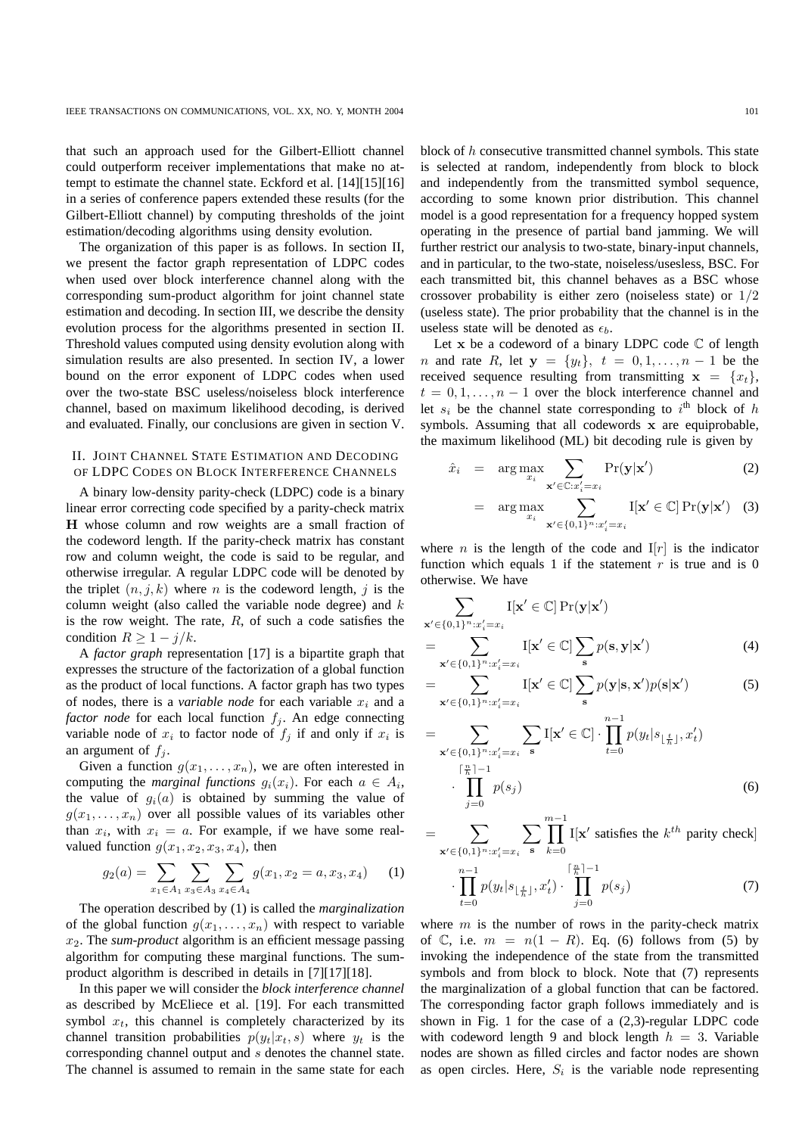that such an approach used for the Gilbert-Elliott channel could outperform receiver implementations that make no attempt to estimate the channel state. Eckford et al. [14][15][16] in a series of conference papers extended these results (for the Gilbert-Elliott channel) by computing thresholds of the joint estimation/decoding algorithms using density evolution.

The organization of this paper is as follows. In section II, we present the factor graph representation of LDPC codes when used over block interference channel along with the corresponding sum-product algorithm for joint channel state estimation and decoding. In section III, we describe the density evolution process for the algorithms presented in section II. Threshold values computed using density evolution along with simulation results are also presented. In section IV, a lower bound on the error exponent of LDPC codes when used over the two-state BSC useless/noiseless block interference channel, based on maximum likelihood decoding, is derived and evaluated. Finally, our conclusions are given in section V.

# II. JOINT CHANNEL STATE ESTIMATION AND DECODING OF LDPC CODES ON BLOCK INTERFERENCE CHANNELS

A binary low-density parity-check (LDPC) code is a binary linear error correcting code specified by a parity-check matrix H whose column and row weights are a small fraction of the codeword length. If the parity-check matrix has constant row and column weight, the code is said to be regular, and otherwise irregular. A regular LDPC code will be denoted by the triplet  $(n, j, k)$  where n is the codeword length, j is the column weight (also called the variable node degree) and  $k$ is the row weight. The rate,  $R$ , of such a code satisfies the condition  $R \geq 1 - j/k$ .

A *factor graph* representation [17] is a bipartite graph that expresses the structure of the factorization of a global function as the product of local functions. A factor graph has two types of nodes, there is a *variable node* for each variable  $x_i$  and a *factor node* for each local function  $f_j$ . An edge connecting variable node of  $x_i$  to factor node of  $f_j$  if and only if  $x_i$  is an argument of  $f_i$ .

Given a function  $g(x_1, \ldots, x_n)$ , we are often interested in computing the *marginal functions*  $g_i(x_i)$ . For each  $a \in A_i$ , the value of  $q_i(a)$  is obtained by summing the value of  $g(x_1, \ldots, x_n)$  over all possible values of its variables other than  $x_i$ , with  $x_i = a$ . For example, if we have some realvalued function  $g(x_1, x_2, x_3, x_4)$ , then

$$
g_2(a) = \sum_{x_1 \in A_1} \sum_{x_3 \in A_3} \sum_{x_4 \in A_4} g(x_1, x_2 = a, x_3, x_4) \tag{1}
$$

The operation described by (1) is called the *marginalization* of the global function  $g(x_1, \ldots, x_n)$  with respect to variable  $x_2$ . The *sum-product* algorithm is an efficient message passing algorithm for computing these marginal functions. The sumproduct algorithm is described in details in [7][17][18].

In this paper we will consider the *block interference channel* as described by McEliece et al. [19]. For each transmitted symbol  $x_t$ , this channel is completely characterized by its channel transition probabilities  $p(y_t|x_t, s)$  where  $y_t$  is the corresponding channel output and s denotes the channel state. The channel is assumed to remain in the same state for each block of h consecutive transmitted channel symbols. This state is selected at random, independently from block to block and independently from the transmitted symbol sequence, according to some known prior distribution. This channel model is a good representation for a frequency hopped system operating in the presence of partial band jamming. We will further restrict our analysis to two-state, binary-input channels, and in particular, to the two-state, noiseless/usesless, BSC. For each transmitted bit, this channel behaves as a BSC whose crossover probability is either zero (noiseless state) or 1/2 (useless state). The prior probability that the channel is in the useless state will be denoted as  $\epsilon_b$ .

Let x be a codeword of a binary LDPC code  $\mathbb C$  of length *n* and rate R, let  $y = \{y_t\}$ ,  $t = 0, 1, ..., n - 1$  be the received sequence resulting from transmitting  $x = \{x_t\},\$  $t = 0, 1, \ldots, n - 1$  over the block interference channel and let  $s_i$  be the channel state corresponding to  $i^{\text{th}}$  block of h symbols. Assuming that all codewords x are equiprobable, the maximum likelihood (ML) bit decoding rule is given by

$$
\hat{x}_i = \arg \max_{x_i} \sum_{\mathbf{x}' \in \mathbb{C}: x'_i = x_i} \Pr(\mathbf{y}|\mathbf{x}') \tag{2}
$$

$$
= \arg \max_{x_i} \sum_{\mathbf{x}' \in \{0,1\}^n : x'_i = x_i} I[\mathbf{x}' \in \mathbb{C}] \Pr(\mathbf{y}|\mathbf{x}') \quad (3)
$$

where *n* is the length of the code and  $I[r]$  is the indicator function which equals 1 if the statement  $r$  is true and is 0 otherwise. We have

$$
\sum_{\mathbf{x}' \in \{0,1\}^n : x'_i = x_i} \mathbf{I}[\mathbf{x}' \in \mathbb{C}] \Pr(\mathbf{y}|\mathbf{x}')
$$
  
= 
$$
\sum_{\mathbf{x}' \in \{0,1\}^n : x'_i = x_i} \mathbf{I}[\mathbf{x}' \in \mathbb{C}] \sum_{\mathbf{s}} p(\mathbf{s}, \mathbf{y}|\mathbf{x}')
$$
(4)

$$
= \sum_{\mathbf{x}' \in \{0,1\}^n : x'_i = x_i} \mathbf{I}[\mathbf{x}' \in \mathbb{C}] \sum_{\mathbf{s}} p(\mathbf{y}|\mathbf{s}, \mathbf{x}') p(\mathbf{s}|\mathbf{x}') \tag{5}
$$

$$
= \sum_{\mathbf{x}' \in \{0,1\}^n : x'_i = x_i} \sum_{\mathbf{s}} I[\mathbf{x}' \in \mathbb{C}] \cdot \prod_{t=0}^{n-1} p(y_t | s_{\lfloor \frac{t}{h} \rfloor}, x'_t) \cdot \prod_{j=0}^{\lceil \frac{n}{h} \rceil - 1} p(s_j)
$$
 (6)

 $=$   $\sum$  $\mathbf{x}' \in \{0,1\}^n : x'_i = x_i$  $\overline{\phantom{0}}$ s m−1<br>∏  $_{k=0}$  $I[x'$  satisfies the  $k^{th}$  parity check]  $\overline{n}$ 

$$
\cdot \prod_{t=0}^{n-1} p(y_t | s_{\lfloor \frac{t}{h} \rfloor}, x'_t) \cdot \prod_{j=0}^{\lceil \frac{n}{h} \rceil - 1} p(s_j)
$$
 (7)

where  $m$  is the number of rows in the parity-check matrix of  $\mathbb C$ , i.e.  $m = n(1 - R)$ . Eq. (6) follows from (5) by invoking the independence of the state from the transmitted symbols and from block to block. Note that (7) represents the marginalization of a global function that can be factored. The corresponding factor graph follows immediately and is shown in Fig. 1 for the case of a (2,3)-regular LDPC code with codeword length 9 and block length  $h = 3$ . Variable nodes are shown as filled circles and factor nodes are shown as open circles. Here,  $S_i$  is the variable node representing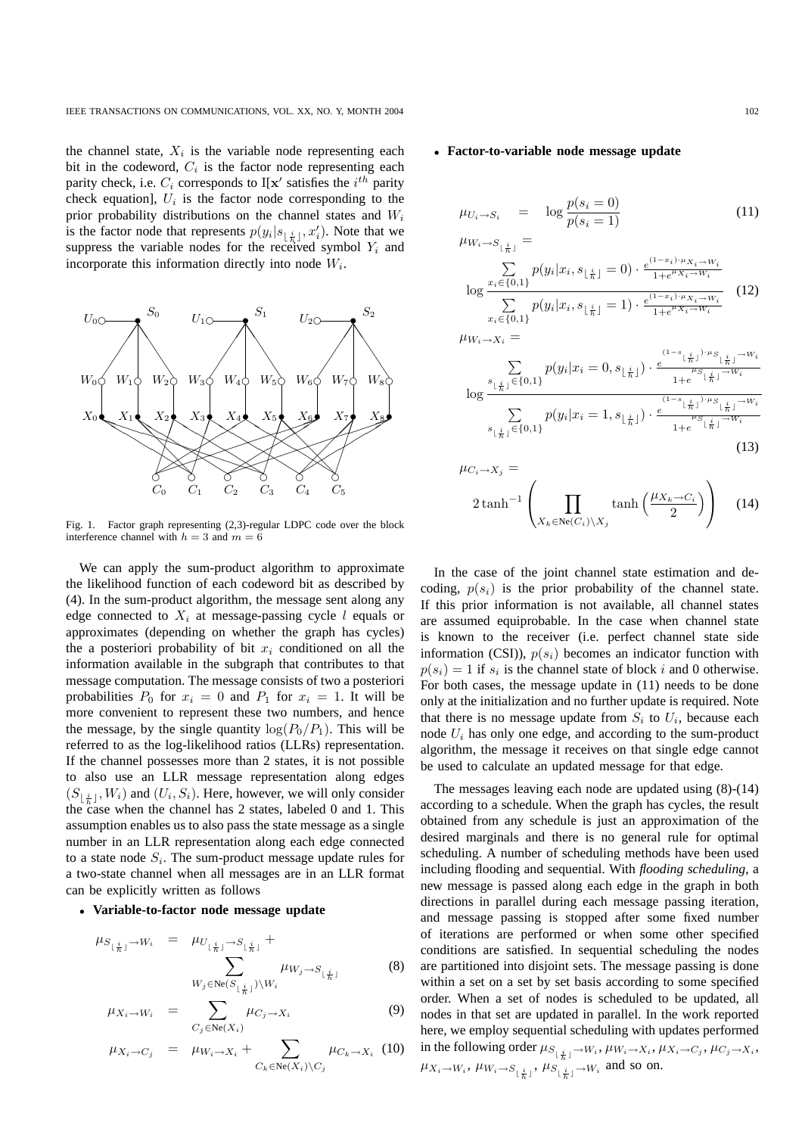the channel state,  $X_i$  is the variable node representing each bit in the codeword,  $C_i$  is the factor node representing each parity check, i.e.  $C_i$  corresponds to I[x' satisfies the  $i^{th}$  parity check equation],  $U_i$  is the factor node corresponding to the prior probability distributions on the channel states and  $W_i$ is the factor node that represents  $p(y_i|s_{\lfloor \frac{i}{h} \rfloor}, x'_i)$ . Note that we suppress the variable nodes for the received symbol  $Y_i$  and incorporate this information directly into node  $W_i$ .



Fig. 1. Factor graph representing (2,3)-regular LDPC code over the block interference channel with  $h = 3$  and  $m = 6$ 

We can apply the sum-product algorithm to approximate the likelihood function of each codeword bit as described by (4). In the sum-product algorithm, the message sent along any edge connected to  $X_i$  at message-passing cycle l equals or approximates (depending on whether the graph has cycles) the a posteriori probability of bit  $x_i$  conditioned on all the information available in the subgraph that contributes to that message computation. The message consists of two a posteriori probabilities  $P_0$  for  $x_i = 0$  and  $P_1$  for  $x_i = 1$ . It will be more convenient to represent these two numbers, and hence the message, by the single quantity  $\log(P_0/P_1)$ . This will be referred to as the log-likelihood ratios (LLRs) representation. If the channel possesses more than 2 states, it is not possible to also use an LLR message representation along edges  $(S_{\lfloor \frac{i}{h} \rfloor}, W_i)$  and  $(U_i, S_i)$ . Here, however, we will only consider the case when the channel has 2 states, labeled 0 and 1. This assumption enables us to also pass the state message as a single number in an LLR representation along each edge connected to a state node  $S_i$ . The sum-product message update rules for a two-state channel when all messages are in an LLR format can be explicitly written as follows

## • **Variable-to-factor node message update**

$$
\mu_{S_{\lfloor \frac{i}{h} \rfloor}} \to W_i = \mu_{U_{\lfloor \frac{i}{h} \rfloor}} \to S_{\lfloor \frac{i}{h} \rfloor} + \sum_{W_j \in \text{Ne}(S_{\lfloor \frac{i}{h} \rfloor}) \setminus W_i} \mu_{W_j \to S_{\lfloor \frac{i}{h} \rfloor}}
$$
(8)

$$
\mu_{X_i \to W_i} = \sum_{C_j \in \text{Ne}(X_i)} \mu_{C_j \to X_i} \tag{9}
$$

$$
\mu_{X_i \to C_j} = \mu_{W_i \to X_i} + \sum_{C_k \in \text{Ne}(X_i) \setminus C_j} \mu_{C_k \to X_i} \quad (10)
$$

### • **Factor-to-variable node message update**

$$
\mu_{U_i \to S_i} = \log \frac{p(s_i = 0)}{p(s_i = 1)} \tag{11}
$$

$$
\mu_{W_i \to S_{\lfloor \frac{i}{h} \rfloor}} = \sum_{\substack{1 \le i \le \{0,1\} \\ \log x_i \in \{0,1\} \\ x_i \in \{0,1\} }} p(y_i | x_i, s_{\lfloor \frac{i}{h} \rfloor} = 0) \cdot \frac{e^{(1-x_i) \cdot \mu_{X_i \to W_i}}}{1 + e^{\mu_{X_i \to W_i}}} \tag{12}
$$
\n
$$
\mu_{W_i \to X_i} = \mu_{W_i \to X_i} =
$$

$$
\log \frac{\sum\limits_{\substack{s_{\lfloor \frac{i}{h} \rfloor} \in \{0,1\}}}} p(y_i | x_i = 0, s_{\lfloor \frac{i}{h} \rfloor}) \cdot \frac{e^{(1 - s_{\lfloor \frac{i}{h} \rfloor}) \cdot \mu_S} \cdot \frac{1}{h} e^{j - W_i}}{1 + e^{j - s_{\lfloor \frac{i}{h} \rfloor} - W_i}}}{\sum\limits_{s_{\lfloor \frac{i}{h} \rfloor} \in \{0,1\}} p(y_i | x_i = 1, s_{\lfloor \frac{i}{h} \rfloor}) \cdot \frac{e^{(1 - s_{\lfloor \frac{i}{h} \rfloor}) \cdot \mu_S} \cdot \frac{1}{h} e^{j - W_i}}{1 + e^{j - s_{\lfloor \frac{i}{h} \rfloor} - W_i}}}
$$
(13)

$$
\mu_{C_i \to X_j} =
$$
\n
$$
2 \tanh^{-1} \left( \prod_{X_k \in \text{Ne}(C_i) \setminus X_j} \tanh \left( \frac{\mu_{X_k \to C_i}}{2} \right) \right) \quad (14)
$$

In the case of the joint channel state estimation and decoding,  $p(s_i)$  is the prior probability of the channel state. If this prior information is not available, all channel states are assumed equiprobable. In the case when channel state is known to the receiver (i.e. perfect channel state side information (CSI)),  $p(s_i)$  becomes an indicator function with  $p(s_i) = 1$  if  $s_i$  is the channel state of block i and 0 otherwise. For both cases, the message update in (11) needs to be done only at the initialization and no further update is required. Note that there is no message update from  $S_i$  to  $U_i$ , because each node  $U_i$  has only one edge, and according to the sum-product algorithm, the message it receives on that single edge cannot be used to calculate an updated message for that edge.

The messages leaving each node are updated using (8)-(14) according to a schedule. When the graph has cycles, the result obtained from any schedule is just an approximation of the desired marginals and there is no general rule for optimal scheduling. A number of scheduling methods have been used including flooding and sequential. With *flooding scheduling*, a new message is passed along each edge in the graph in both directions in parallel during each message passing iteration, and message passing is stopped after some fixed number of iterations are performed or when some other specified conditions are satisfied. In sequential scheduling the nodes are partitioned into disjoint sets. The message passing is done within a set on a set by set basis according to some specified order. When a set of nodes is scheduled to be updated, all nodes in that set are updated in parallel. In the work reported here, we employ sequential scheduling with updates performed in the following order  $\mu_{S_{\lfloor \frac{i}{h} \rfloor} \to W_i}, \mu_{W_i \to X_i}, \mu_{X_i \to C_j}, \mu_{C_j \to X_i},$  $\mu_{X_i\to W_i}$ ,  $\mu_{W_i\to S_{\lfloor \frac{i}{h} \rfloor}}$ ,  $\mu_{S_{\lfloor \frac{i}{h} \rfloor}}$  and so on.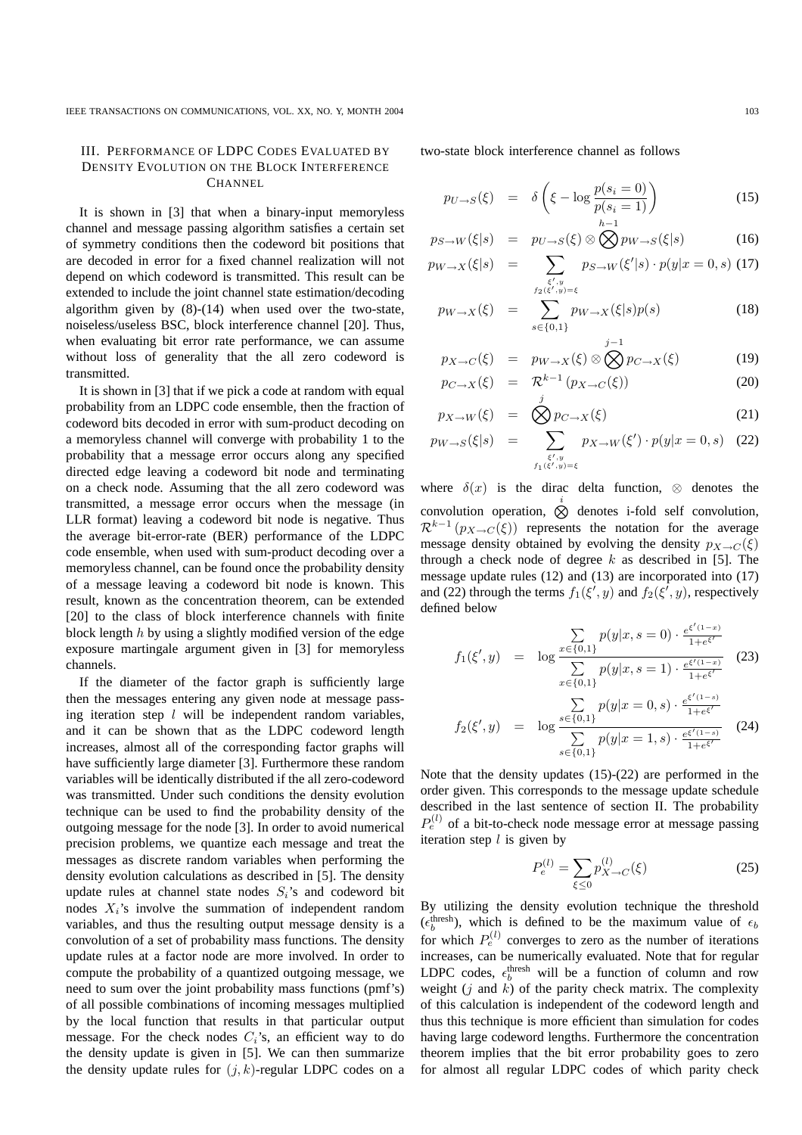# III. PERFORMANCE OF LDPC CODES EVALUATED BY DENSITY EVOLUTION ON THE BLOCK INTERFERENCE **CHANNEL**

It is shown in [3] that when a binary-input memoryless channel and message passing algorithm satisfies a certain set of symmetry conditions then the codeword bit positions that are decoded in error for a fixed channel realization will not depend on which codeword is transmitted. This result can be extended to include the joint channel state estimation/decoding algorithm given by (8)-(14) when used over the two-state, noiseless/useless BSC, block interference channel [20]. Thus, when evaluating bit error rate performance, we can assume without loss of generality that the all zero codeword is transmitted.

It is shown in [3] that if we pick a code at random with equal probability from an LDPC code ensemble, then the fraction of codeword bits decoded in error with sum-product decoding on a memoryless channel will converge with probability 1 to the probability that a message error occurs along any specified directed edge leaving a codeword bit node and terminating on a check node. Assuming that the all zero codeword was transmitted, a message error occurs when the message (in LLR format) leaving a codeword bit node is negative. Thus the average bit-error-rate (BER) performance of the LDPC code ensemble, when used with sum-product decoding over a memoryless channel, can be found once the probability density of a message leaving a codeword bit node is known. This result, known as the concentration theorem, can be extended [20] to the class of block interference channels with finite block length  $h$  by using a slightly modified version of the edge exposure martingale argument given in [3] for memoryless channels.

If the diameter of the factor graph is sufficiently large then the messages entering any given node at message passing iteration step  $l$  will be independent random variables, and it can be shown that as the LDPC codeword length increases, almost all of the corresponding factor graphs will have sufficiently large diameter [3]. Furthermore these random variables will be identically distributed if the all zero-codeword was transmitted. Under such conditions the density evolution technique can be used to find the probability density of the outgoing message for the node [3]. In order to avoid numerical precision problems, we quantize each message and treat the messages as discrete random variables when performing the density evolution calculations as described in [5]. The density update rules at channel state nodes  $S_i$ 's and codeword bit nodes  $X_i$ 's involve the summation of independent random variables, and thus the resulting output message density is a convolution of a set of probability mass functions. The density update rules at a factor node are more involved. In order to compute the probability of a quantized outgoing message, we need to sum over the joint probability mass functions (pmf's) of all possible combinations of incoming messages multiplied by the local function that results in that particular output message. For the check nodes  $C_i$ 's, an efficient way to do the density update is given in [5]. We can then summarize the density update rules for  $(j, k)$ -regular LDPC codes on a

two-state block interference channel as follows

$$
p_{U \to S}(\xi) = \delta \left( \xi - \log \frac{p(s_i = 0)}{p(s_i = 1)} \right)
$$
 (15)

$$
p_{S \to W}(\xi|s) = p_{U \to S}(\xi) \otimes \bigotimes p_{W \to S}(\xi|s)
$$
 (16)

$$
p_{W \to X}(\xi|s) = \sum_{\substack{\xi', y \\ f_2(\xi', y) = \xi}} p_{S \to W}(\xi'|s) \cdot p(y|x=0, s) \tag{17}
$$

$$
p_{W \to X}(\xi) = \sum_{s \in \{0,1\}} p_{W \to X}(\xi|s)p(s)
$$
 (18)

$$
p_{X \to C}(\xi) = p_{W \to X}(\xi) \otimes \bigotimes_{(1)}^{X} p_{C \to X}(\xi)
$$
 (19)

$$
p_{C \to X}(\xi) = \mathcal{R}^{k-1} (p_{X \to C}(\xi))
$$
 (20)

$$
p_{X \to W}(\xi) = \bigotimes p_{C \to X}(\xi) \tag{21}
$$

$$
p_{W \to S}(\xi|s) = \sum_{\substack{\xi', y \\ f_1(\xi', y) = \xi}} p_{X \to W}(\xi') \cdot p(y|x=0, s) \quad (22)
$$

where  $\delta(x)$  is the dirac delta function,  $\otimes$  denotes the convolution operation,  $\bigotimes^i$  denotes i-fold self convolution,  $\mathcal{R}^{k-1}(p_{X\to C}(\xi))$  represents the notation for the average message density obtained by evolving the density  $p_{X\rightarrow C}(\xi)$ through a check node of degree  $k$  as described in [5]. The message update rules (12) and (13) are incorporated into (17) and (22) through the terms  $f_1(\xi', y)$  and  $f_2(\xi', y)$ , respectively defined below

$$
f_1(\xi', y) = \log \frac{\sum\limits_{x \in \{0, 1\}} p(y|x, s=0) \cdot \frac{e^{\xi'(1-x)}}{1 + e^{\xi'}}}{\sum\limits_{x \in \{0, 1\}} p(y|x, s=1) \cdot \frac{e^{\xi'(1-x)}}{1 + e^{\xi'}}}
$$
(23)

$$
f_2(\xi', y) = \log \frac{\sum\limits_{s \in \{0,1\}} p(y|x=0, s) \cdot \frac{e^{\xi'(1-s)}}{1 + e^{\xi'}}}{\sum\limits_{s \in \{0,1\}} p(y|x=1, s) \cdot \frac{e^{\xi'(1-s)}}{1 + e^{\xi'}}}
$$
(24)

Note that the density updates (15)-(22) are performed in the order given. This corresponds to the message update schedule described in the last sentence of section II. The probability  $P_e^{(l)}$  of a bit-to-check node message error at message passing iteration step  $l$  is given by

$$
P_e^{(l)} = \sum_{\xi \le 0} p_{X \to C}^{(l)}(\xi)
$$
 (25)

By utilizing the density evolution technique the threshold ( $\epsilon_b^{\text{thresh}}$ ), which is defined to be the maximum value of  $\epsilon_b$ for which  $P_e^{(l)}$  converges to zero as the number of iterations increases, can be numerically evaluated. Note that for regular LDPC codes,  $\epsilon_b^{\text{thresh}}$  will be a function of column and row weight  $(j$  and  $k)$  of the parity check matrix. The complexity of this calculation is independent of the codeword length and thus this technique is more efficient than simulation for codes having large codeword lengths. Furthermore the concentration theorem implies that the bit error probability goes to zero for almost all regular LDPC codes of which parity check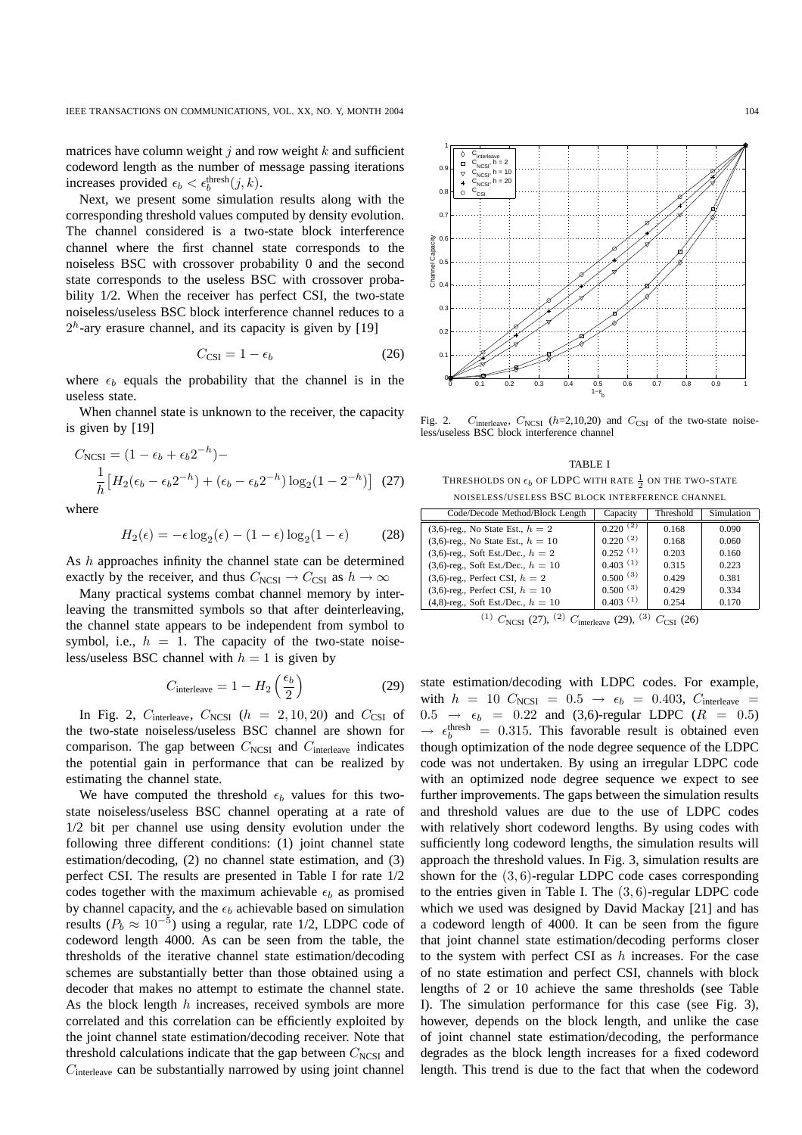matrices have column weight  $j$  and row weight  $k$  and sufficient codeword length as the number of message passing iterations increases provided  $\epsilon_b < \epsilon_b^{\text{thresh}}(j, k)$ .

Next, we present some simulation results along with the corresponding threshold values computed by density evolution. The channel considered is a two-state block interference channel where the first channel state corresponds to the noiseless BSC with crossover probability 0 and the second state corresponds to the useless BSC with crossover probability 1/2. When the receiver has perfect CSI, the two-state noiseless/useless BSC block interference channel reduces to a  $2<sup>h</sup>$ -ary erasure channel, and its capacity is given by [19]

$$
C_{\text{CSI}} = 1 - \epsilon_b \tag{26}
$$

where  $\epsilon_b$  equals the probability that the channel is in the useless state.

When channel state is unknown to the receiver, the capacity is given by [19]

$$
C_{\text{NCSI}} = (1 - \epsilon_b + \epsilon_b 2^{-h}) -
$$

$$
\frac{1}{h} \left[ H_2(\epsilon_b - \epsilon_b 2^{-h}) + (\epsilon_b - \epsilon_b 2^{-h}) \log_2(1 - 2^{-h}) \right] (27)
$$

where

$$
H_2(\epsilon) = -\epsilon \log_2(\epsilon) - (1 - \epsilon) \log_2(1 - \epsilon) \tag{28}
$$

As h approaches infinity the channel state can be determined exactly by the receiver, and thus  $C_{\text{NCSI}} \rightarrow C_{\text{CSI}}$  as  $h \rightarrow \infty$ 

Many practical systems combat channel memory by interleaving the transmitted symbols so that after deinterleaving, the channel state appears to be independent from symbol to symbol, i.e.,  $h = 1$ . The capacity of the two-state noiseless/useless BSC channel with  $h = 1$  is given by

$$
C_{\text{interleave}} = 1 - H_2 \left(\frac{\epsilon_b}{2}\right) \tag{29}
$$

In Fig. 2,  $C_{\text{interleave}}$ ,  $C_{\text{NCSI}}$  ( $h = 2, 10, 20$ ) and  $C_{\text{CSI}}$  of the two-state noiseless/useless BSC channel are shown for comparison. The gap between  $C_{\text{NCSI}}$  and  $C_{\text{interleave}}$  indicates the potential gain in performance that can be realized by estimating the channel state.

We have computed the threshold  $\epsilon_b$  values for this twostate noiseless/useless BSC channel operating at a rate of 1/2 bit per channel use using density evolution under the following three different conditions: (1) joint channel state estimation/decoding, (2) no channel state estimation, and (3) perfect CSI. The results are presented in Table I for rate 1/2 codes together with the maximum achievable  $\epsilon_b$  as promised by channel capacity, and the  $\epsilon_b$  achievable based on simulation results ( $P_b \approx 10^{-5}$ ) using a regular, rate 1/2, LDPC code of codeword length 4000. As can be seen from the table, the thresholds of the iterative channel state estimation/decoding schemes are substantially better than those obtained using a decoder that makes no attempt to estimate the channel state. As the block length  $h$  increases, received symbols are more correlated and this correlation can be efficiently exploited by the joint channel state estimation/decoding receiver. Note that threshold calculations indicate that the gap between  $C_{\text{NCSI}}$  and  $C_{\text{interleave}}$  can be substantially narrowed by using joint channel



Fig. 2.  $C_{\text{interleave}}$ ,  $C_{\text{NCSI}}$  (h=2,10,20) and  $C_{\text{CSI}}$  of the two-state noiseless/useless BSC block interference channel

TABLE I THRESHOLDS ON  $\epsilon_b$  of LDPC with rate  $\frac{1}{2}$  on the two-state NOISELESS/USELESS BSC BLOCK INTERFERENCE CHANNEL

| Code/Decode Method/Block Length         | Capacity      | Threshold | Simulation |
|-----------------------------------------|---------------|-----------|------------|
| (3,6)-reg., No State Est., $h = 2$      | $0.220^{(2)}$ | 0.168     | 0.090      |
| $(3,6)$ -reg., No State Est., $h = 10$  | $0.220^{(2)}$ | 0.168     | 0.060      |
| $(3,6)$ -reg., Soft Est./Dec., $h = 2$  | $0.252^{(1)}$ | 0.203     | 0.160      |
| $(3,6)$ -reg., Soft Est./Dec., $h = 10$ | $0.403^{(1)}$ | 0.315     | 0.223      |
| $(3,6)$ -reg., Perfect CSI, $h = 2$     | $0.500^{(3)}$ | 0.429     | 0.381      |
| $(3,6)$ -reg., Perfect CSI, $h = 10$    | $0.500^{(3)}$ | 0.429     | 0.334      |
| $(4,8)$ -reg., Soft Est./Dec., $h = 10$ | $0.403^{(1)}$ | 0.254     | 0.170      |

$$
^{(1)}\ C_{\text{NCSI}}\ (27),\ ^{(2)}\ C_{\text{interleave}}\ (29),\ ^{(3)}\ C_{\text{CSI}}\ (26)
$$

state estimation/decoding with LDPC codes. For example, with  $h = 10$   $C_{\text{NCSI}} = 0.5 \rightarrow \epsilon_b = 0.403$ ,  $C_{\text{interleave}} =$  $0.5 \rightarrow \epsilon_b = 0.22$  and (3,6)-regular LDPC ( $R = 0.5$ )  $\rightarrow \epsilon_b^{\text{thresh}} = 0.315$ . This favorable result is obtained even though optimization of the node degree sequence of the LDPC code was not undertaken. By using an irregular LDPC code with an optimized node degree sequence we expect to see further improvements. The gaps between the simulation results and threshold values are due to the use of LDPC codes with relatively short codeword lengths. By using codes with sufficiently long codeword lengths, the simulation results will approach the threshold values. In Fig. 3, simulation results are shown for the (3, 6)-regular LDPC code cases corresponding to the entries given in Table I. The (3, 6)-regular LDPC code which we used was designed by David Mackay [21] and has a codeword length of 4000. It can be seen from the figure that joint channel state estimation/decoding performs closer to the system with perfect CSI as  $h$  increases. For the case of no state estimation and perfect CSI, channels with block lengths of 2 or 10 achieve the same thresholds (see Table I). The simulation performance for this case (see Fig. 3), however, depends on the block length, and unlike the case of joint channel state estimation/decoding, the performance degrades as the block length increases for a fixed codeword length. This trend is due to the fact that when the codeword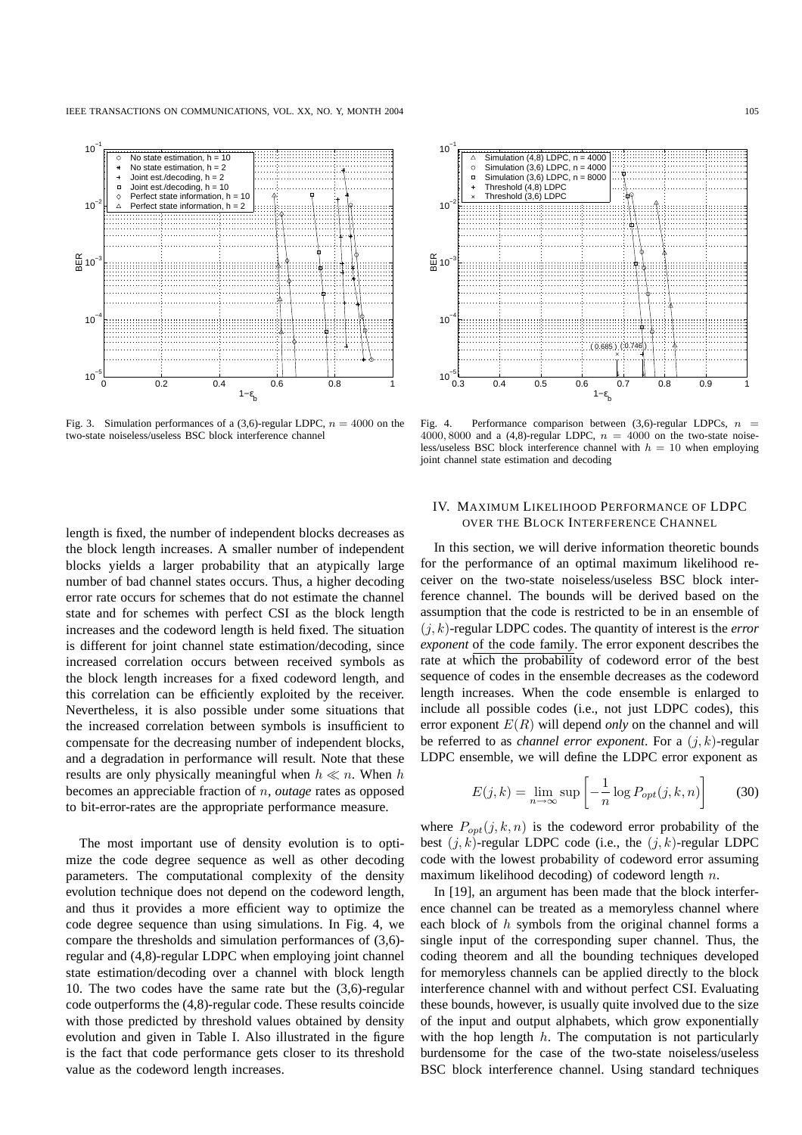

Fig. 3. Simulation performances of a (3,6)-regular LDPC,  $n = 4000$  on the two-state noiseless/useless BSC block interference channel



Fig. 4. Performance comparison between  $(3,6)$ -regular LDPCs,  $n =$ 4000, 8000 and a (4,8)-regular LDPC,  $n = 4000$  on the two-state noiseless/useless BSC block interference channel with  $h = 10$  when employing joint channel state estimation and decoding

length is fixed, the number of independent blocks decreases as the block length increases. A smaller number of independent blocks yields a larger probability that an atypically large number of bad channel states occurs. Thus, a higher decoding error rate occurs for schemes that do not estimate the channel state and for schemes with perfect CSI as the block length increases and the codeword length is held fixed. The situation is different for joint channel state estimation/decoding, since increased correlation occurs between received symbols as the block length increases for a fixed codeword length, and this correlation can be efficiently exploited by the receiver. Nevertheless, it is also possible under some situations that the increased correlation between symbols is insufficient to compensate for the decreasing number of independent blocks, and a degradation in performance will result. Note that these results are only physically meaningful when  $h \ll n$ . When h becomes an appreciable fraction of n, *outage* rates as opposed to bit-error-rates are the appropriate performance measure.

The most important use of density evolution is to optimize the code degree sequence as well as other decoding parameters. The computational complexity of the density evolution technique does not depend on the codeword length, and thus it provides a more efficient way to optimize the code degree sequence than using simulations. In Fig. 4, we compare the thresholds and simulation performances of (3,6) regular and (4,8)-regular LDPC when employing joint channel state estimation/decoding over a channel with block length 10. The two codes have the same rate but the (3,6)-regular code outperforms the (4,8)-regular code. These results coincide with those predicted by threshold values obtained by density evolution and given in Table I. Also illustrated in the figure is the fact that code performance gets closer to its threshold value as the codeword length increases.

# IV. MAXIMUM LIKELIHOOD PERFORMANCE OF LDPC OVER THE BLOCK INTERFERENCE CHANNEL

In this section, we will derive information theoretic bounds for the performance of an optimal maximum likelihood receiver on the two-state noiseless/useless BSC block interference channel. The bounds will be derived based on the assumption that the code is restricted to be in an ensemble of  $(j, k)$ -regular LDPC codes. The quantity of interest is the *error exponent* of the code family. The error exponent describes the rate at which the probability of codeword error of the best sequence of codes in the ensemble decreases as the codeword length increases. When the code ensemble is enlarged to include all possible codes (i.e., not just LDPC codes), this error exponent  $E(R)$  will depend *only* on the channel and will be referred to as *channel error exponent*. For a  $(i, k)$ -regular LDPC ensemble, we will define the LDPC error exponent as

$$
E(j,k) = \lim_{n \to \infty} \sup \left[ -\frac{1}{n} \log P_{opt}(j,k,n) \right]
$$
 (30)

where  $P_{\text{opt}}(j, k, n)$  is the codeword error probability of the best  $(j, k)$ -regular LDPC code (i.e., the  $(j, k)$ -regular LDPC code with the lowest probability of codeword error assuming maximum likelihood decoding) of codeword length n.

In [19], an argument has been made that the block interference channel can be treated as a memoryless channel where each block of  $h$  symbols from the original channel forms a single input of the corresponding super channel. Thus, the coding theorem and all the bounding techniques developed for memoryless channels can be applied directly to the block interference channel with and without perfect CSI. Evaluating these bounds, however, is usually quite involved due to the size of the input and output alphabets, which grow exponentially with the hop length  $h$ . The computation is not particularly burdensome for the case of the two-state noiseless/useless BSC block interference channel. Using standard techniques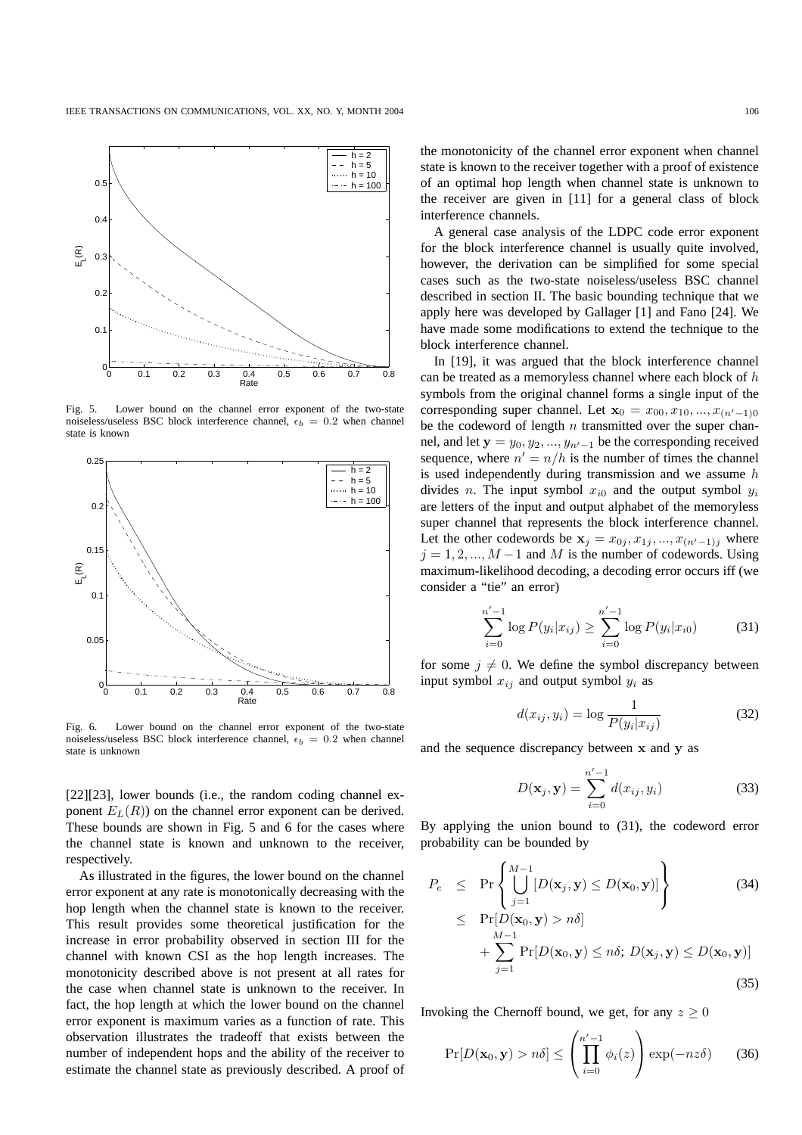

Fig. 5. Lower bound on the channel error exponent of the two-state noiseless/useless BSC block interference channel,  $\epsilon_b = 0.2$  when channel state is known



Fig. 6. Lower bound on the channel error exponent of the two-state noiseless/useless BSC block interference channel,  $\epsilon_b = 0.2$  when channel state is unknown

[22][23], lower bounds (i.e., the random coding channel exponent  $E_L(R)$ ) on the channel error exponent can be derived. These bounds are shown in Fig. 5 and 6 for the cases where the channel state is known and unknown to the receiver, respectively.

As illustrated in the figures, the lower bound on the channel error exponent at any rate is monotonically decreasing with the hop length when the channel state is known to the receiver. This result provides some theoretical justification for the increase in error probability observed in section III for the channel with known CSI as the hop length increases. The monotonicity described above is not present at all rates for the case when channel state is unknown to the receiver. In fact, the hop length at which the lower bound on the channel error exponent is maximum varies as a function of rate. This observation illustrates the tradeoff that exists between the number of independent hops and the ability of the receiver to estimate the channel state as previously described. A proof of

the monotonicity of the channel error exponent when channel state is known to the receiver together with a proof of existence of an optimal hop length when channel state is unknown to the receiver are given in [11] for a general class of block interference channels.

A general case analysis of the LDPC code error exponent for the block interference channel is usually quite involved, however, the derivation can be simplified for some special cases such as the two-state noiseless/useless BSC channel described in section II. The basic bounding technique that we apply here was developed by Gallager [1] and Fano [24]. We have made some modifications to extend the technique to the block interference channel.

In [19], it was argued that the block interference channel can be treated as a memoryless channel where each block of h symbols from the original channel forms a single input of the corresponding super channel. Let  $\mathbf{x}_0 = x_{00}, x_{10}, ..., x_{(n'-1)0}$ be the codeword of length  $n$  transmitted over the super channel, and let  $y = y_0, y_2, ..., y_{n'-1}$  be the corresponding received sequence, where  $n' = n/h$  is the number of times the channel is used independently during transmission and we assume  $h$ divides n. The input symbol  $x_{i0}$  and the output symbol  $y_i$ are letters of the input and output alphabet of the memoryless super channel that represents the block interference channel. Let the other codewords be  $x_j = x_{0j}, x_{1j}, ..., x_{(n'-1)j}$  where  $j = 1, 2, ..., M - 1$  and M is the number of codewords. Using maximum-likelihood decoding, a decoding error occurs iff (we consider a "tie" an error)

$$
\sum_{i=0}^{n'-1} \log P(y_i | x_{ij}) \ge \sum_{i=0}^{n'-1} \log P(y_i | x_{i0}) \tag{31}
$$

for some  $j \neq 0$ . We define the symbol discrepancy between input symbol  $x_{ij}$  and output symbol  $y_i$  as

$$
d(x_{ij}, y_i) = \log \frac{1}{P(y_i|x_{ij})}
$$
\n(32)

and the sequence discrepancy between x and y as

$$
D(\mathbf{x}_j, \mathbf{y}) = \sum_{i=0}^{n'-1} d(x_{ij}, y_i)
$$
 (33)

By applying the union bound to (31), the codeword error probability can be bounded by

$$
P_e \le \Pr\left\{\bigcup_{j=1}^{M-1} [D(\mathbf{x}_j, \mathbf{y}) \le D(\mathbf{x}_0, \mathbf{y})]\right\}
$$
(34)  

$$
\le \Pr[D(\mathbf{x}_0, \mathbf{y}) > n\delta]
$$

$$
+ \sum_{j=1}^{M-1} \Pr[D(\mathbf{x}_0, \mathbf{y}) \le n\delta; D(\mathbf{x}_j, \mathbf{y}) \le D(\mathbf{x}_0, \mathbf{y})]
$$
(35)

Invoking the Chernoff bound, we get, for any  $z \geq 0$ 

$$
\Pr[D(\mathbf{x}_0, \mathbf{y}) > n\delta] \le \left(\prod_{i=0}^{n'-1} \phi_i(z)\right) \exp(-nz\delta) \qquad (36)
$$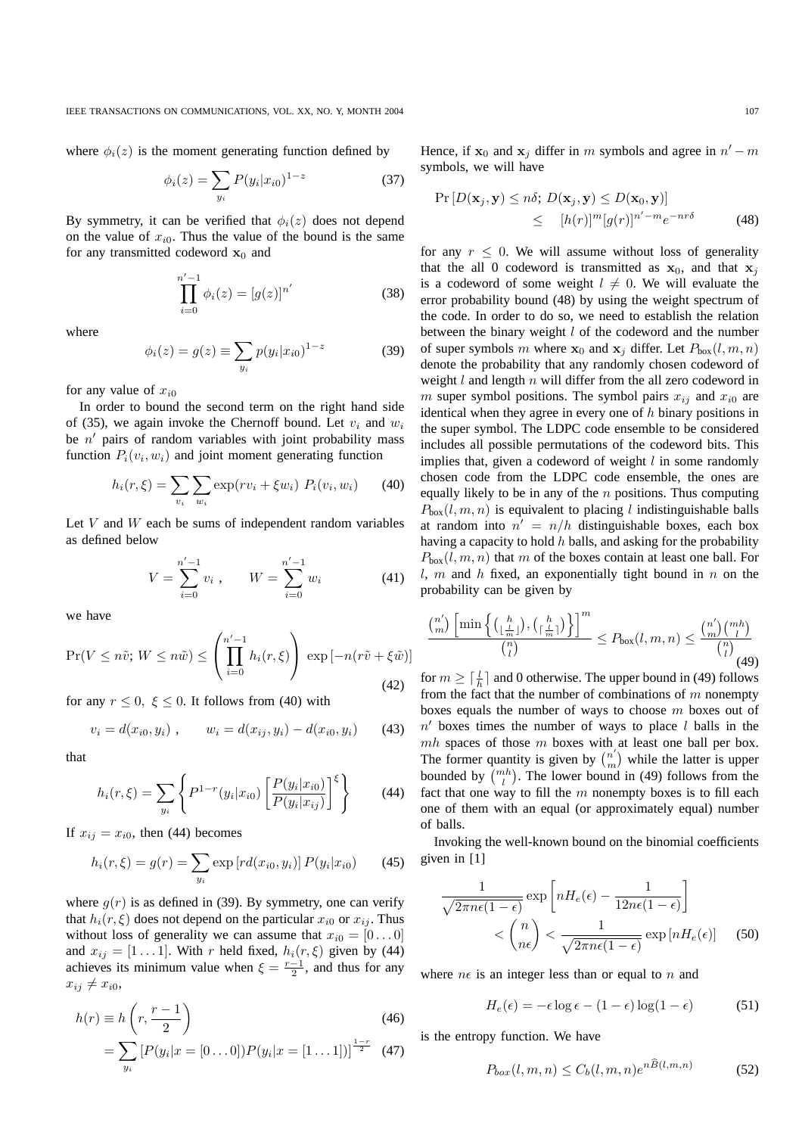where  $\phi_i(z)$  is the moment generating function defined by

$$
\phi_i(z) = \sum_{y_i} P(y_i | x_{i0})^{1-z}
$$
 (37)

By symmetry, it can be verified that  $\phi_i(z)$  does not depend on the value of  $x_{i0}$ . Thus the value of the bound is the same for any transmitted codeword  $x_0$  and

$$
\prod_{i=0}^{n'-1} \phi_i(z) = [g(z)]^{n'} \tag{38}
$$

where

$$
\phi_i(z) = g(z) \equiv \sum_{y_i} p(y_i | x_{i0})^{1-z}
$$
 (39)

for any value of  $x_{i0}$ 

In order to bound the second term on the right hand side of (35), we again invoke the Chernoff bound. Let  $v_i$  and  $w_i$ be  $n'$  pairs of random variables with joint probability mass function  $P_i(v_i, w_i)$  and joint moment generating function

$$
h_i(r,\xi) = \sum_{v_i} \sum_{w_i} \exp(rv_i + \xi w_i) \ P_i(v_i, w_i) \tag{40}
$$

Let  $V$  and  $W$  each be sums of independent random variables as defined below

$$
V = \sum_{i=0}^{n'-1} v_i , \qquad W = \sum_{i=0}^{n'-1} w_i
$$
 (41)

we have

$$
\Pr(V \le n\tilde{v}; W \le n\tilde{w}) \le \left(\prod_{i=0}^{n'-1} h_i(r,\xi)\right) \exp\left[-n(r\tilde{v} + \xi\tilde{w})\right]
$$
\n(42)

for any  $r \leq 0$ ,  $\xi \leq 0$ . It follows from (40) with

$$
v_i = d(x_{i0}, y_i) , \qquad w_i = d(x_{ij}, y_i) - d(x_{i0}, y_i) \qquad (43)
$$

that

$$
h_i(r,\xi) = \sum_{y_i} \left\{ P^{1-r}(y_i|x_{i0}) \left[ \frac{P(y_i|x_{i0})}{P(y_i|x_{ij})} \right]^{\xi} \right\}
$$
(44)

If  $x_{ij} = x_{i0}$ , then (44) becomes

$$
h_i(r,\xi) = g(r) = \sum_{y_i} \exp\left[rd(x_{i0}, y_i)\right] P(y_i|x_{i0}) \tag{45}
$$

where  $g(r)$  is as defined in (39). By symmetry, one can verify that  $h_i(r, \xi)$  does not depend on the particular  $x_{i0}$  or  $x_{ij}$ . Thus without loss of generality we can assume that  $x_{i0} = [0 \dots 0]$ and  $x_{ij} = [1 \dots 1]$ . With r held fixed,  $h_i(r, \xi)$  given by (44) achieves its minimum value when  $\xi = \frac{r-1}{2}$ , and thus for any  $x_{ij} \neq x_{i0}$ 

$$
h(r) \equiv h\left(r, \frac{r-1}{2}\right)
$$
\n
$$
= \sum_{y_i} \left[P(y_i|x = [0 \dots 0])P(y_i|x = [1 \dots 1])\right]^{\frac{1-r}{2}} \tag{47}
$$

Hence, if  $x_0$  and  $x_j$  differ in m symbols and agree in  $n'-m$ symbols, we will have

$$
\Pr[D(\mathbf{x}_j, \mathbf{y}) \le n\delta; D(\mathbf{x}_j, \mathbf{y}) \le D(\mathbf{x}_0, \mathbf{y})] \le [h(r)]^m [g(r)]^{n'-m} e^{-nr\delta} \tag{48}
$$

for any  $r \leq 0$ . We will assume without loss of generality that the all 0 codeword is transmitted as  $x_0$ , and that  $x_i$ is a codeword of some weight  $l \neq 0$ . We will evaluate the error probability bound (48) by using the weight spectrum of the code. In order to do so, we need to establish the relation between the binary weight  $l$  of the codeword and the number of super symbols m where  $x_0$  and  $x_i$  differ. Let  $P_{\text{box}}(l, m, n)$ denote the probability that any randomly chosen codeword of weight  $l$  and length  $n$  will differ from the all zero codeword in m super symbol positions. The symbol pairs  $x_{ij}$  and  $x_{i0}$  are identical when they agree in every one of  $h$  binary positions in the super symbol. The LDPC code ensemble to be considered includes all possible permutations of the codeword bits. This implies that, given a codeword of weight  $l$  in some randomly chosen code from the LDPC code ensemble, the ones are equally likely to be in any of the  $n$  positions. Thus computing  $P_{\text{box}}(l, m, n)$  is equivalent to placing l indistinguishable balls at random into  $n' = n/h$  distinguishable boxes, each box having a capacity to hold  $h$  balls, and asking for the probability  $P_{\text{box}}(l, m, n)$  that m of the boxes contain at least one ball. For  $l, m$  and  $h$  fixed, an exponentially tight bound in  $n$  on the probability can be given by

$$
\frac{\binom{n'}{m}\left[\min\left\{\binom{h}{\lfloor\frac{l}{m}\rfloor},\binom{h}{\lceil\frac{l}{m}\rceil}\right\}\right]^m}{\binom{n}{l}} \le P_{\text{box}}(l,m,n) \le \frac{\binom{n'}{m}\binom{mh}{l}}{\binom{n}{l}} \tag{49}
$$

for  $m \geq \lceil \frac{l}{h} \rceil$  and 0 otherwise. The upper bound in (49) follows from the fact that the number of combinations of  $m$  nonempty boxes equals the number of ways to choose m boxes out of  $n'$  boxes times the number of ways to place  $l$  balls in the  $mh$  spaces of those  $m$  boxes with at least one ball per box. The former quantity is given by  $\binom{n'}{n}$  $\binom{n'}{m}$  while the latter is upper bounded by  $\binom{mh}{l}$ . The lower bound in (49) follows from the fact that one way to fill the  $m$  nonempty boxes is to fill each one of them with an equal (or approximately equal) number of balls.

Invoking the well-known bound on the binomial coefficients given in [1]

$$
\frac{1}{\sqrt{2\pi n\epsilon(1-\epsilon)}}\exp\left[nH_e(\epsilon)-\frac{1}{12n\epsilon(1-\epsilon)}\right]
$$

$$
< \binom{n}{n\epsilon} < \frac{1}{\sqrt{2\pi n\epsilon(1-\epsilon)}}\exp\left[nH_e(\epsilon)\right] \quad (50)
$$

where  $n\epsilon$  is an integer less than or equal to n and

$$
H_e(\epsilon) = -\epsilon \log \epsilon - (1 - \epsilon) \log(1 - \epsilon)
$$
 (51)

is the entropy function. We have

 $\sqrt{2}$ 

$$
P_{box}(l,m,n) \le C_b(l,m,n)e^{nB(l,m,n)} \tag{52}
$$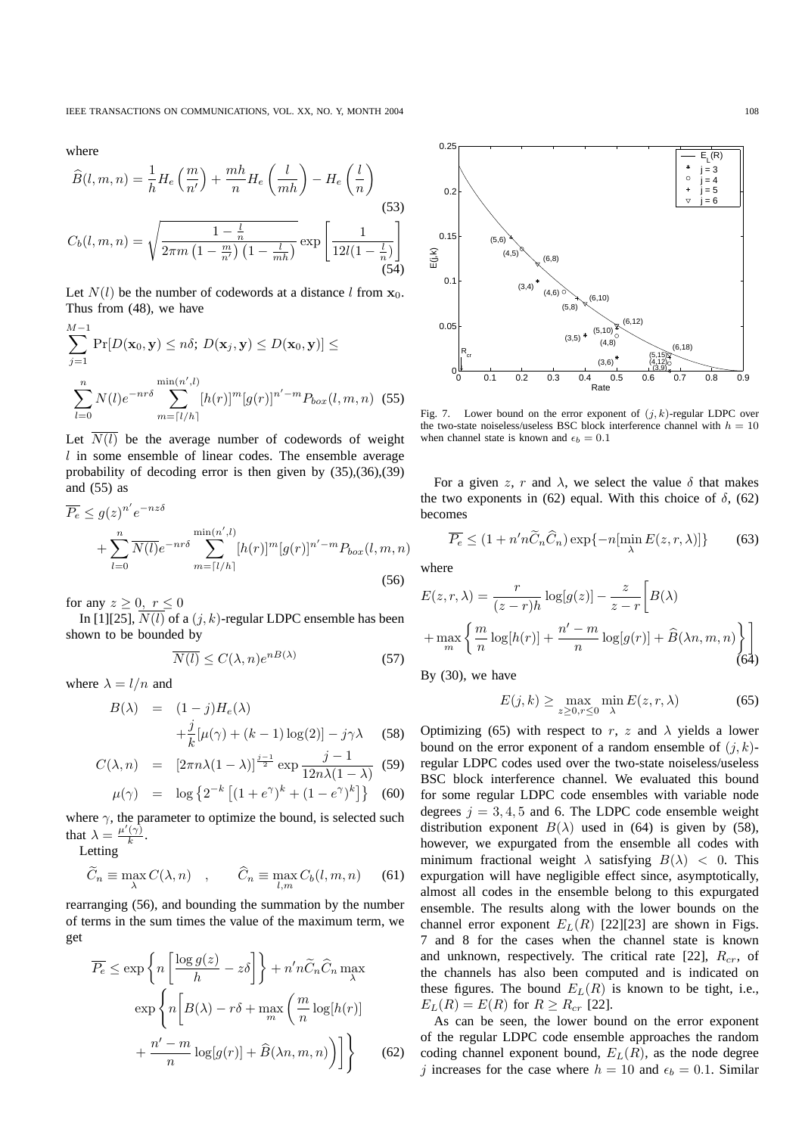where

$$
\widehat{B}(l, m, n) = \frac{1}{h} H_e\left(\frac{m}{n'}\right) + \frac{mh}{n} H_e\left(\frac{l}{mh}\right) - H_e\left(\frac{l}{n}\right)
$$
\n
$$
C_b(l, m, n) = \sqrt{\frac{1 - \frac{l}{n}}{2\pi m \left(1 - \frac{m}{n'}\right) \left(1 - \frac{l}{mh}\right)}} \exp\left[\frac{1}{12l(1 - \frac{l}{n})}\right]
$$
\n(53)

Let  $N(l)$  be the number of codewords at a distance l from  $x_0$ . Thus from (48), we have

$$
\sum_{j=1}^{M-1} \Pr[D(\mathbf{x}_0, \mathbf{y}) \le n\delta; D(\mathbf{x}_j, \mathbf{y}) \le D(\mathbf{x}_0, \mathbf{y})] \le
$$

$$
\sum_{l=0}^{n} N(l)e^{-nr\delta} \sum_{m=\lceil l/h \rceil}^{\min(n',l)} [h(r)]^m [g(r)]^{n'-m} P_{box}(l, m, n) \quad (55)
$$

Let  $\overline{N(l)}$  be the average number of codewords of weight  $l$  in some ensemble of linear codes. The ensemble average probability of decoding error is then given by (35),(36),(39) and (55) as

$$
\overline{P_e} \le g(z)^{n'} e^{-nz\delta}
$$
  
+ 
$$
\sum_{l=0}^n \overline{N(l)} e^{-nr\delta} \sum_{m=\lceil l/h\rceil}^{\min(n',l)} [h(r)]^m [g(r)]^{n'-m} P_{box}(l, m, n)
$$
  
(56)

for any  $z \geq 0$ ,  $r \leq 0$ 

In [1][25],  $\overline{N(l)}$  of a  $(j, k)$ -regular LDPC ensemble has been shown to be bounded by

$$
\overline{N(l)} \le C(\lambda, n)e^{nB(\lambda)}\tag{57}
$$

where  $\lambda = l/n$  and

$$
B(\lambda) = (1 - j)H_e(\lambda)
$$
  
 
$$
+ \frac{j}{k}[\mu(\gamma) + (k - 1)\log(2)] - j\gamma\lambda
$$
 (58)

$$
C(\lambda, n) = \left[2\pi n\lambda (1-\lambda)\right]^{\frac{j-1}{2}} \exp \frac{j-1}{12n\lambda(1-\lambda)}
$$
(59)

$$
\mu(\gamma) = \log \left\{ 2^{-k} \left[ (1 + e^{\gamma})^k + (1 - e^{\gamma})^k \right] \right\} \tag{60}
$$

where  $\gamma$ , the parameter to optimize the bound, is selected such that  $\lambda = \frac{\mu'(\gamma)}{k}$  $\frac{(\gamma)}{k}$ .

Letting

$$
\widetilde{C}_n \equiv \max_{\lambda} C(\lambda, n) \quad , \qquad \widehat{C}_n \equiv \max_{l,m} C_b(l, m, n) \tag{61}
$$

rearranging (56), and bounding the summation by the number of terms in the sum times the value of the maximum term, we get

$$
\overline{P_e} \le \exp\left\{ n \left[ \frac{\log g(z)}{h} - z\delta \right] \right\} + n'n\widetilde{C}_n \widehat{C}_n \max_{\lambda}
$$

$$
\exp\left\{ n \left[ B(\lambda) - r\delta + \max_m \left( \frac{m}{n} \log[h(r)] + \frac{n'-m}{n} \log[g(r)] + \widehat{B}(\lambda n, m, n) \right) \right] \right\}
$$
(62)



Fig. 7. Lower bound on the error exponent of  $(j, k)$ -regular LDPC over the two-state noiseless/useless BSC block interference channel with  $h = 10$ when channel state is known and  $\epsilon_b = 0.1$ 

For a given z, r and  $\lambda$ , we select the value  $\delta$  that makes the two exponents in (62) equal. With this choice of  $\delta$ , (62) becomes

$$
\overline{P_e} \le (1 + n'n\widetilde{C}_n\widehat{C}_n) \exp\{-n[\min_{\lambda} E(z, r, \lambda)]\} \tag{63}
$$

where

$$
E(z,r,\lambda) = \frac{r}{(z-r)h} \log[g(z)] - \frac{z}{z-r} \left[ B(\lambda) + \max_{m} \left\{ \frac{m}{n} \log[h(r)] + \frac{n'-m}{n} \log[g(r)] + \hat{B}(\lambda n, m, n) \right\} \right]
$$
(64)

By (30), we have

$$
E(j,k) \ge \max_{z \ge 0, r \le 0} \min_{\lambda} E(z,r,\lambda)
$$
 (65)

Optimizing (65) with respect to r, z and  $\lambda$  yields a lower bound on the error exponent of a random ensemble of  $(j, k)$ regular LDPC codes used over the two-state noiseless/useless BSC block interference channel. We evaluated this bound for some regular LDPC code ensembles with variable node degrees  $j = 3, 4, 5$  and 6. The LDPC code ensemble weight distribution exponent  $B(\lambda)$  used in (64) is given by (58), however, we expurgated from the ensemble all codes with minimum fractional weight  $\lambda$  satisfying  $B(\lambda) < 0$ . This expurgation will have negligible effect since, asymptotically, almost all codes in the ensemble belong to this expurgated ensemble. The results along with the lower bounds on the channel error exponent  $E_L(R)$  [22][23] are shown in Figs. 7 and 8 for the cases when the channel state is known and unknown, respectively. The critical rate [22],  $R_{cr}$ , of the channels has also been computed and is indicated on these figures. The bound  $E_L(R)$  is known to be tight, i.e.,  $E_L(R) = E(R)$  for  $R \ge R_{cr}$  [22].

As can be seen, the lower bound on the error exponent of the regular LDPC code ensemble approaches the random coding channel exponent bound,  $E_L(R)$ , as the node degree j increases for the case where  $h = 10$  and  $\epsilon_b = 0.1$ . Similar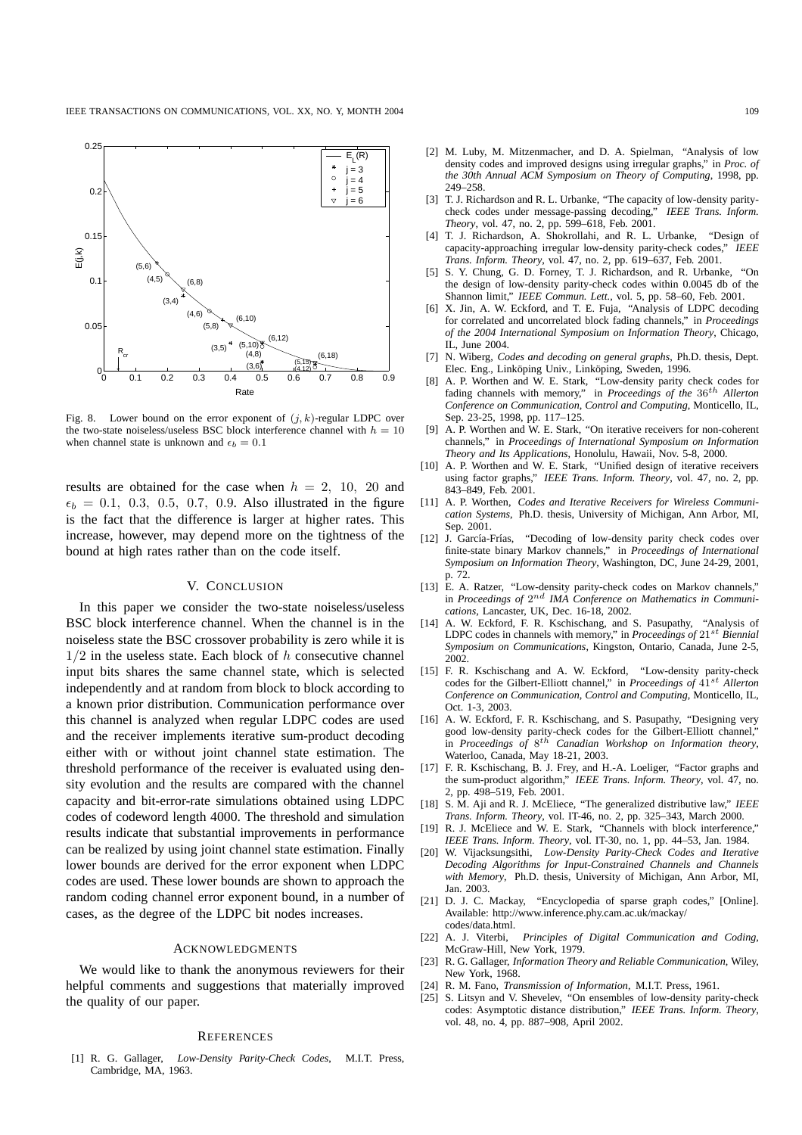

Fig. 8. Lower bound on the error exponent of  $(j, k)$ -regular LDPC over the two-state noiseless/useless BSC block interference channel with  $h = 10$ when channel state is unknown and  $\epsilon_b = 0.1$ 

results are obtained for the case when  $h = 2$ , 10, 20 and  $\epsilon_b = 0.1, 0.3, 0.5, 0.7, 0.9$ . Also illustrated in the figure is the fact that the difference is larger at higher rates. This increase, however, may depend more on the tightness of the bound at high rates rather than on the code itself.

# V. CONCLUSION

In this paper we consider the two-state noiseless/useless BSC block interference channel. When the channel is in the noiseless state the BSC crossover probability is zero while it is  $1/2$  in the useless state. Each block of  $h$  consecutive channel input bits shares the same channel state, which is selected independently and at random from block to block according to a known prior distribution. Communication performance over this channel is analyzed when regular LDPC codes are used and the receiver implements iterative sum-product decoding either with or without joint channel state estimation. The threshold performance of the receiver is evaluated using density evolution and the results are compared with the channel capacity and bit-error-rate simulations obtained using LDPC codes of codeword length 4000. The threshold and simulation results indicate that substantial improvements in performance can be realized by using joint channel state estimation. Finally lower bounds are derived for the error exponent when LDPC codes are used. These lower bounds are shown to approach the random coding channel error exponent bound, in a number of cases, as the degree of the LDPC bit nodes increases.

## ACKNOWLEDGMENTS

We would like to thank the anonymous reviewers for their helpful comments and suggestions that materially improved the quality of our paper.

# **REFERENCES**

[1] R. G. Gallager, *Low-Density Parity-Check Codes*, M.I.T. Press, Cambridge, MA, 1963.

- [2] M. Luby, M. Mitzenmacher, and D. A. Spielman, "Analysis of low density codes and improved designs using irregular graphs," in *Proc. of the 30th Annual ACM Symposium on Theory of Computing*, 1998, pp. 249–258.
- [3] T. J. Richardson and R. L. Urbanke, "The capacity of low-density paritycheck codes under message-passing decoding," *IEEE Trans. Inform. Theory*, vol. 47, no. 2, pp. 599–618, Feb. 2001.
- [4] T. J. Richardson, A. Shokrollahi, and R. L. Urbanke, "Design of capacity-approaching irregular low-density parity-check codes," *IEEE Trans. Inform. Theory*, vol. 47, no. 2, pp. 619–637, Feb. 2001.
- [5] S. Y. Chung, G. D. Forney, T. J. Richardson, and R. Urbanke, "On the design of low-density parity-check codes within 0.0045 db of the Shannon limit," *IEEE Commun. Lett.*, vol. 5, pp. 58–60, Feb. 2001.
- [6] X. Jin, A. W. Eckford, and T. E. Fuja, "Analysis of LDPC decoding for correlated and uncorrelated block fading channels," in *Proceedings of the 2004 International Symposium on Information Theory*, Chicago, IL, June 2004.
- [7] N. Wiberg, *Codes and decoding on general graphs*, Ph.D. thesis, Dept. Elec. Eng., Linköping Univ., Linköping, Sweden, 1996.
- [8] A. P. Worthen and W. E. Stark, "Low-density parity check codes for fading channels with memory," in *Proceedings of the* 36th *Allerton Conference on Communication, Control and Computing*, Monticello, IL, Sep. 23-25, 1998, pp. 117–125.
- [9] A. P. Worthen and W. E. Stark, "On iterative receivers for non-coherent channels," in *Proceedings of International Symposium on Information Theory and Its Applications*, Honolulu, Hawaii, Nov. 5-8, 2000.
- [10] A. P. Worthen and W. E. Stark, "Unified design of iterative receivers using factor graphs," *IEEE Trans. Inform. Theory*, vol. 47, no. 2, pp. 843–849, Feb. 2001.
- [11] A. P. Worthen, *Codes and Iterative Receivers for Wireless Communication Systems*, Ph.D. thesis, University of Michigan, Ann Arbor, MI, Sep. 2001.
- [12] J. García-Frías, "Decoding of low-density parity check codes over finite-state binary Markov channels," in *Proceedings of International Symposium on Information Theory*, Washington, DC, June 24-29, 2001, p. 72.
- [13] E. A. Ratzer, "Low-density parity-check codes on Markov channels," in *Proceedings of*  $2^{nd}$  *IMA Conference on Mathematics in Communications*, Lancaster, UK, Dec. 16-18, 2002.
- [14] A. W. Eckford, F. R. Kschischang, and S. Pasupathy, "Analysis of LDPC codes in channels with memory," in *Proceedings of*  $21^{st}$  *Biennial Symposium on Communications*, Kingston, Ontario, Canada, June 2-5, 2002.
- [15] F. R. Kschischang and A. W. Eckford, "Low-density parity-check codes for the Gilbert-Elliott channel," in *Proceedings of* 41st *Allerton Conference on Communication, Control and Computing*, Monticello, IL, Oct. 1-3, 2003.
- [16] A. W. Eckford, F. R. Kschischang, and S. Pasupathy, "Designing very good low-density parity-check codes for the Gilbert-Elliott channel," in *Proceedings of* 8 th *Canadian Workshop on Information theory*, Waterloo, Canada, May 18-21, 2003.
- [17] F. R. Kschischang, B. J. Frey, and H.-A. Loeliger, "Factor graphs and the sum-product algorithm," *IEEE Trans. Inform. Theory*, vol. 47, no. 2, pp. 498–519, Feb. 2001.
- [18] S. M. Aji and R. J. McEliece, "The generalized distributive law," *IEEE Trans. Inform. Theory*, vol. IT-46, no. 2, pp. 325–343, March 2000.
- [19] R. J. McEliece and W. E. Stark, "Channels with block interference," *IEEE Trans. Inform. Theory*, vol. IT-30, no. 1, pp. 44–53, Jan. 1984.
- [20] W. Vijacksungsithi, *Low-Density Parity-Check Codes and Iterative Decoding Algorithms for Input-Constrained Channels and Channels with Memory*, Ph.D. thesis, University of Michigan, Ann Arbor, MI, Jan. 2003.
- [21] D. J. C. Mackay, "Encyclopedia of sparse graph codes," [Online]. Available: http://www.inference.phy.cam.ac.uk/mackay/ codes/data.html.
- [22] A. J. Viterbi, *Principles of Digital Communication and Coding*, McGraw-Hill, New York, 1979.
- [23] R. G. Gallager, *Information Theory and Reliable Communication*, Wiley, New York, 1968.
- [24] R. M. Fano, *Transmission of Information*, M.I.T. Press, 1961.
- [25] S. Litsyn and V. Shevelev, "On ensembles of low-density parity-check codes: Asymptotic distance distribution," *IEEE Trans. Inform. Theory*, vol. 48, no. 4, pp. 887–908, April 2002.